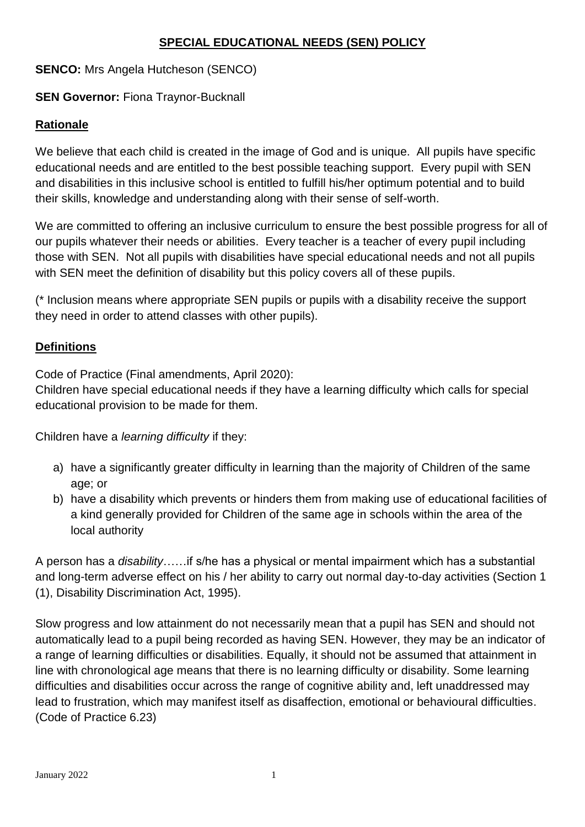#### **SPECIAL EDUCATIONAL NEEDS (SEN) POLICY**

#### **SENCO:** Mrs Angela Hutcheson (SENCO)

#### **SEN Governor: Fiona Traynor-Bucknall**

#### **Rationale**

We believe that each child is created in the image of God and is unique. All pupils have specific educational needs and are entitled to the best possible teaching support. Every pupil with SEN and disabilities in this inclusive school is entitled to fulfill his/her optimum potential and to build their skills, knowledge and understanding along with their sense of self-worth.

We are committed to offering an inclusive curriculum to ensure the best possible progress for all of our pupils whatever their needs or abilities. Every teacher is a teacher of every pupil including those with SEN. Not all pupils with disabilities have special educational needs and not all pupils with SEN meet the definition of disability but this policy covers all of these pupils.

(\* Inclusion means where appropriate SEN pupils or pupils with a disability receive the support they need in order to attend classes with other pupils).

#### **Definitions**

Code of Practice (Final amendments, April 2020):

Children have special educational needs if they have a learning difficulty which calls for special educational provision to be made for them.

Children have a *learning difficulty* if they:

- a) have a significantly greater difficulty in learning than the majority of Children of the same age; or
- b) have a disability which prevents or hinders them from making use of educational facilities of a kind generally provided for Children of the same age in schools within the area of the local authority

A person has a *disability*……if s/he has a physical or mental impairment which has a substantial and long-term adverse effect on his / her ability to carry out normal day-to-day activities (Section 1 (1), Disability Discrimination Act, 1995).

Slow progress and low attainment do not necessarily mean that a pupil has SEN and should not automatically lead to a pupil being recorded as having SEN. However, they may be an indicator of a range of learning difficulties or disabilities. Equally, it should not be assumed that attainment in line with chronological age means that there is no learning difficulty or disability. Some learning difficulties and disabilities occur across the range of cognitive ability and, left unaddressed may lead to frustration, which may manifest itself as disaffection, emotional or behavioural difficulties. (Code of Practice 6.23)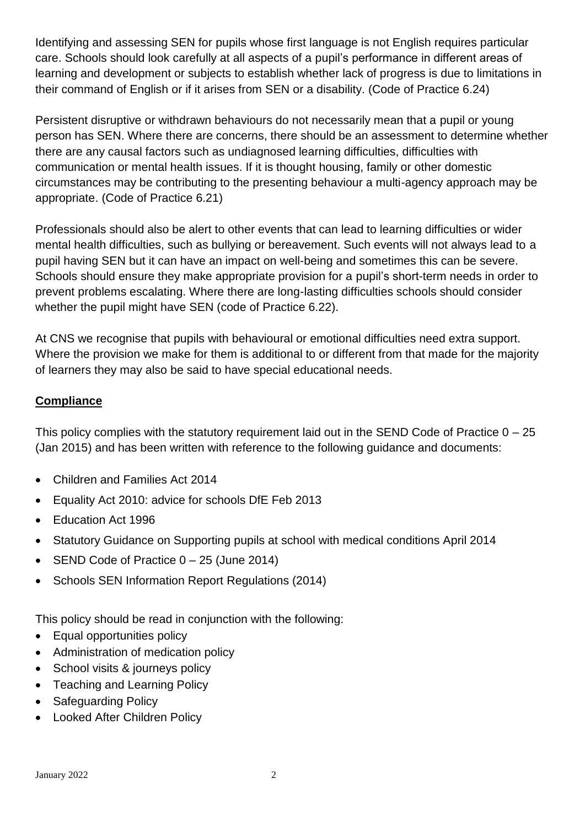Identifying and assessing SEN for pupils whose first language is not English requires particular care. Schools should look carefully at all aspects of a pupil's performance in different areas of learning and development or subjects to establish whether lack of progress is due to limitations in their command of English or if it arises from SEN or a disability. (Code of Practice 6.24)

Persistent disruptive or withdrawn behaviours do not necessarily mean that a pupil or young person has SEN. Where there are concerns, there should be an assessment to determine whether there are any causal factors such as undiagnosed learning difficulties, difficulties with communication or mental health issues. If it is thought housing, family or other domestic circumstances may be contributing to the presenting behaviour a multi-agency approach may be appropriate. (Code of Practice 6.21)

Professionals should also be alert to other events that can lead to learning difficulties or wider mental health difficulties, such as bullying or bereavement. Such events will not always lead to a pupil having SEN but it can have an impact on well-being and sometimes this can be severe. Schools should ensure they make appropriate provision for a pupil's short-term needs in order to prevent problems escalating. Where there are long-lasting difficulties schools should consider whether the pupil might have SEN (code of Practice 6.22).

At CNS we recognise that pupils with behavioural or emotional difficulties need extra support. Where the provision we make for them is additional to or different from that made for the majority of learners they may also be said to have special educational needs.

#### **Compliance**

This policy complies with the statutory requirement laid out in the SEND Code of Practice 0 – 25 (Jan 2015) and has been written with reference to the following guidance and documents:

- Children and Families Act 2014
- Equality Act 2010: advice for schools DfE Feb 2013
- Education Act 1996
- Statutory Guidance on Supporting pupils at school with medical conditions April 2014
- SEND Code of Practice 0 25 (June 2014)
- Schools SEN Information Report Regulations (2014)

This policy should be read in conjunction with the following:

- Equal opportunities policy
- Administration of medication policy
- School visits & journeys policy
- Teaching and Learning Policy
- Safeguarding Policy
- Looked After Children Policy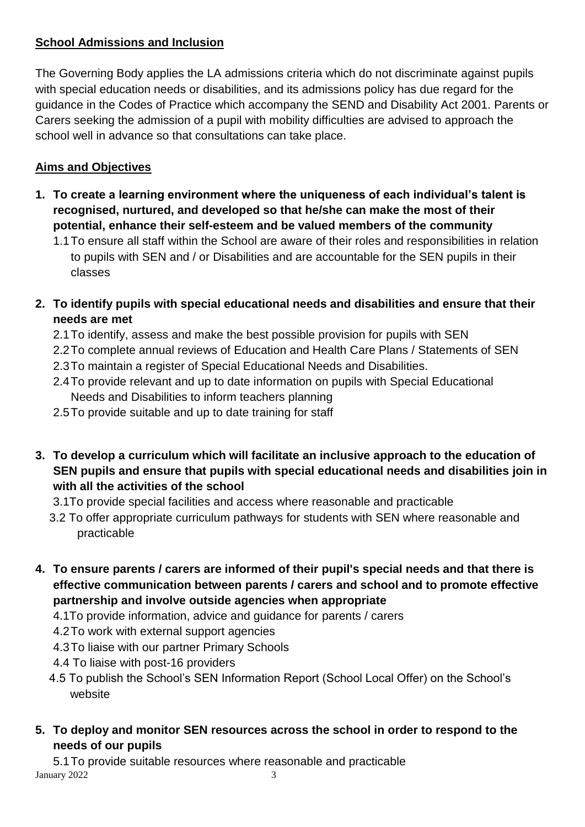# **School Admissions and Inclusion**

The Governing Body applies the LA admissions criteria which do not discriminate against pupils with special education needs or disabilities, and its admissions policy has due regard for the guidance in the Codes of Practice which accompany the SEND and Disability Act 2001. Parents or Carers seeking the admission of a pupil with mobility difficulties are advised to approach the school well in advance so that consultations can take place.

# **Aims and Objectives**

- **1. To create a learning environment where the uniqueness of each individual's talent is recognised, nurtured, and developed so that he/she can make the most of their potential, enhance their self-esteem and be valued members of the community**
	- 1.1To ensure all staff within the School are aware of their roles and responsibilities in relation to pupils with SEN and / or Disabilities and are accountable for the SEN pupils in their classes
- **2. To identify pupils with special educational needs and disabilities and ensure that their needs are met**
	- 2.1To identify, assess and make the best possible provision for pupils with SEN
	- 2.2To complete annual reviews of Education and Health Care Plans / Statements of SEN
	- 2.3To maintain a register of Special Educational Needs and Disabilities.
	- 2.4To provide relevant and up to date information on pupils with Special Educational Needs and Disabilities to inform teachers planning
	- 2.5To provide suitable and up to date training for staff
- **3. To develop a curriculum which will facilitate an inclusive approach to the education of SEN pupils and ensure that pupils with special educational needs and disabilities join in with all the activities of the school**
	- 3.1To provide special facilities and access where reasonable and practicable
	- 3.2 To offer appropriate curriculum pathways for students with SEN where reasonable and practicable
- **4. To ensure parents / carers are informed of their pupil's special needs and that there is effective communication between parents / carers and school and to promote effective partnership and involve outside agencies when appropriate**
	- 4.1To provide information, advice and guidance for parents / carers
	- 4.2To work with external support agencies
	- 4.3To liaise with our partner Primary Schools
	- 4.4 To liaise with post-16 providers
	- 4.5 To publish the School's SEN Information Report (School Local Offer) on the School's website
- **5. To deploy and monitor SEN resources across the school in order to respond to the needs of our pupils**

January 2022 3 5.1To provide suitable resources where reasonable and practicable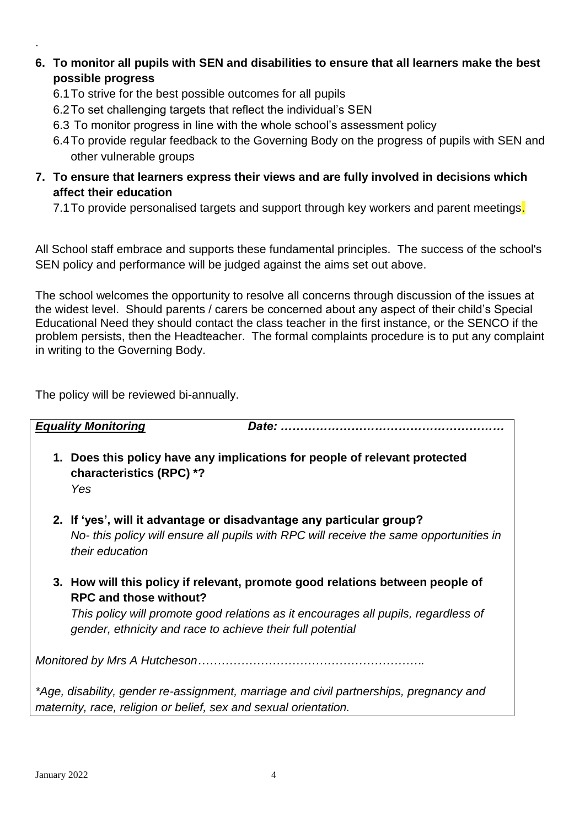- **6. To monitor all pupils with SEN and disabilities to ensure that all learners make the best possible progress**
	- 6.1To strive for the best possible outcomes for all pupils
	- 6.2To set challenging targets that reflect the individual's SEN
	- 6.3 To monitor progress in line with the whole school's assessment policy
	- 6.4To provide regular feedback to the Governing Body on the progress of pupils with SEN and other vulnerable groups
- **7. To ensure that learners express their views and are fully involved in decisions which affect their education** 
	- 7.1 To provide personalised targets and support through key workers and parent meetings.

All School staff embrace and supports these fundamental principles. The success of the school's SEN policy and performance will be judged against the aims set out above.

The school welcomes the opportunity to resolve all concerns through discussion of the issues at the widest level. Should parents / carers be concerned about any aspect of their child's Special Educational Need they should contact the class teacher in the first instance, or the SENCO if the problem persists, then the Headteacher. The formal complaints procedure is to put any complaint in writing to the Governing Body.

The policy will be reviewed bi-annually.

|                                                                                                                                                            | <b>Equality Monitoring</b>                                                                  |                                                                                                                                                                     |
|------------------------------------------------------------------------------------------------------------------------------------------------------------|---------------------------------------------------------------------------------------------|---------------------------------------------------------------------------------------------------------------------------------------------------------------------|
|                                                                                                                                                            | characteristics (RPC) *?<br>Yes                                                             | 1. Does this policy have any implications for people of relevant protected                                                                                          |
|                                                                                                                                                            | their education                                                                             | 2. If 'yes', will it advantage or disadvantage any particular group?<br>No- this policy will ensure all pupils with RPC will receive the same opportunities in      |
|                                                                                                                                                            | <b>RPC and those without?</b><br>gender, ethnicity and race to achieve their full potential | 3. How will this policy if relevant, promote good relations between people of<br>This policy will promote good relations as it encourages all pupils, regardless of |
|                                                                                                                                                            |                                                                                             |                                                                                                                                                                     |
| *Age, disability, gender re-assignment, marriage and civil partnerships, pregnancy and<br>maternity, race, religion or belief, sex and sexual orientation. |                                                                                             |                                                                                                                                                                     |

.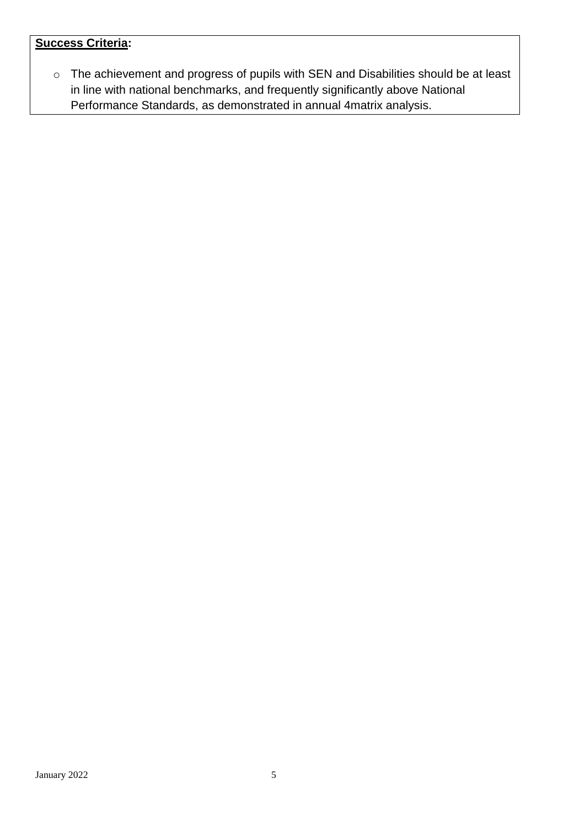# **Success Criteria:**

o The achievement and progress of pupils with SEN and Disabilities should be at least in line with national benchmarks, and frequently significantly above National Performance Standards, as demonstrated in annual 4matrix analysis.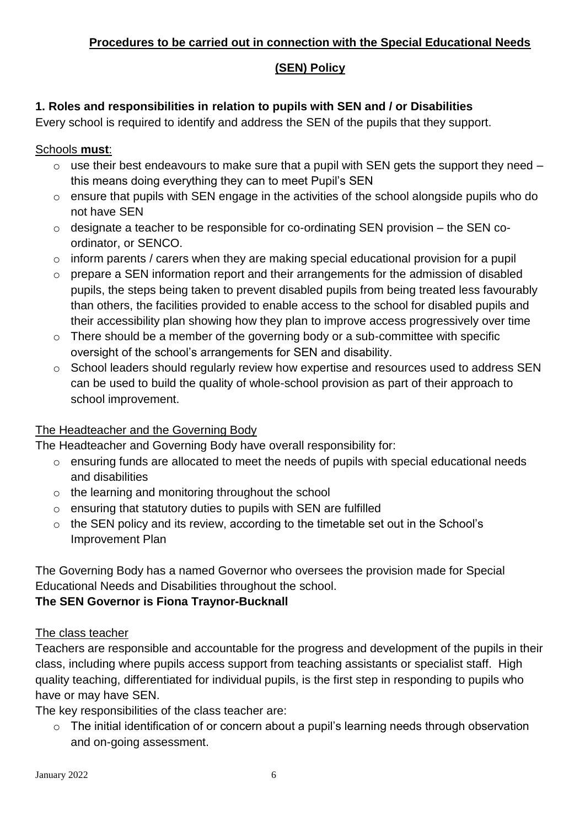## **Procedures to be carried out in connection with the Special Educational Needs**

# **(SEN) Policy**

## **1. Roles and responsibilities in relation to pupils with SEN and / or Disabilities**

Every school is required to identify and address the SEN of the pupils that they support.

#### Schools **must**:

- $\circ$  use their best endeavours to make sure that a pupil with SEN gets the support they need this means doing everything they can to meet Pupil's SEN
- o ensure that pupils with SEN engage in the activities of the school alongside pupils who do not have SEN
- o designate a teacher to be responsible for co-ordinating SEN provision the SEN coordinator, or SENCO.
- $\circ$  inform parents / carers when they are making special educational provision for a pupil
- o prepare a SEN information report and their arrangements for the admission of disabled pupils, the steps being taken to prevent disabled pupils from being treated less favourably than others, the facilities provided to enable access to the school for disabled pupils and their accessibility plan showing how they plan to improve access progressively over time
- o There should be a member of the governing body or a sub-committee with specific oversight of the school's arrangements for SEN and disability.
- o School leaders should regularly review how expertise and resources used to address SEN can be used to build the quality of whole-school provision as part of their approach to school improvement.

# The Headteacher and the Governing Body

The Headteacher and Governing Body have overall responsibility for:

- o ensuring funds are allocated to meet the needs of pupils with special educational needs and disabilities
- o the learning and monitoring throughout the school
- o ensuring that statutory duties to pupils with SEN are fulfilled
- o the SEN policy and its review, according to the timetable set out in the School's Improvement Plan

The Governing Body has a named Governor who oversees the provision made for Special Educational Needs and Disabilities throughout the school.

# **The SEN Governor is Fiona Traynor-Bucknall**

#### The class teacher

Teachers are responsible and accountable for the progress and development of the pupils in their class, including where pupils access support from teaching assistants or specialist staff. High quality teaching, differentiated for individual pupils, is the first step in responding to pupils who have or may have SEN.

The key responsibilities of the class teacher are:

o The initial identification of or concern about a pupil's learning needs through observation and on-going assessment.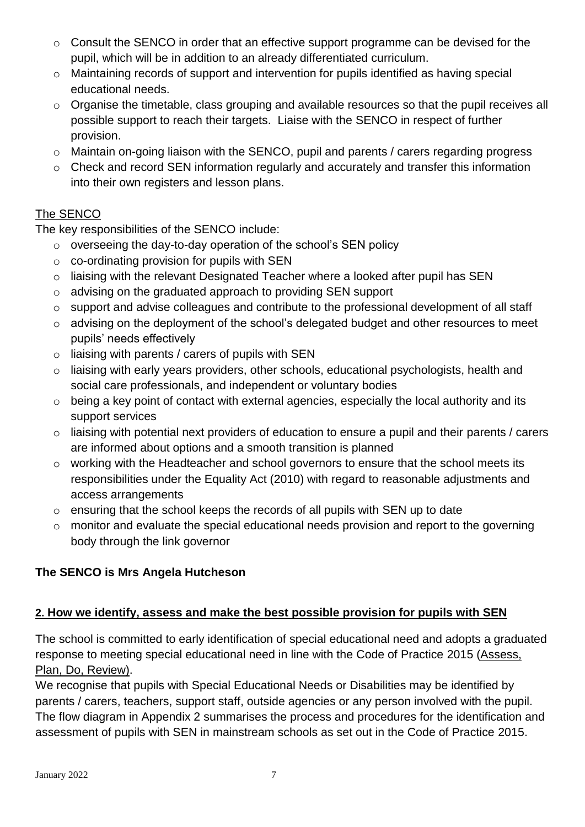- o Consult the SENCO in order that an effective support programme can be devised for the pupil, which will be in addition to an already differentiated curriculum.
- o Maintaining records of support and intervention for pupils identified as having special educational needs.
- o Organise the timetable, class grouping and available resources so that the pupil receives all possible support to reach their targets. Liaise with the SENCO in respect of further provision.
- o Maintain on-going liaison with the SENCO, pupil and parents / carers regarding progress
- o Check and record SEN information regularly and accurately and transfer this information into their own registers and lesson plans.

# The SENCO

The key responsibilities of the SENCO include:

- o overseeing the day-to-day operation of the school's SEN policy
- o co-ordinating provision for pupils with SEN
- o liaising with the relevant Designated Teacher where a looked after pupil has SEN
- o advising on the graduated approach to providing SEN support
- o support and advise colleagues and contribute to the professional development of all staff
- o advising on the deployment of the school's delegated budget and other resources to meet pupils' needs effectively
- $\circ$  liaising with parents / carers of pupils with SEN
- o liaising with early years providers, other schools, educational psychologists, health and social care professionals, and independent or voluntary bodies
- $\circ$  being a key point of contact with external agencies, especially the local authority and its support services
- o liaising with potential next providers of education to ensure a pupil and their parents / carers are informed about options and a smooth transition is planned
- o working with the Headteacher and school governors to ensure that the school meets its responsibilities under the Equality Act (2010) with regard to reasonable adjustments and access arrangements
- o ensuring that the school keeps the records of all pupils with SEN up to date
- o monitor and evaluate the special educational needs provision and report to the governing body through the link governor

# **The SENCO is Mrs Angela Hutcheson**

# **2. How we identify, assess and make the best possible provision for pupils with SEN**

The school is committed to early identification of special educational need and adopts a graduated response to meeting special educational need in line with the Code of Practice 2015 (Assess, Plan, Do, Review).

We recognise that pupils with Special Educational Needs or Disabilities may be identified by parents / carers, teachers, support staff, outside agencies or any person involved with the pupil. The flow diagram in Appendix 2 summarises the process and procedures for the identification and assessment of pupils with SEN in mainstream schools as set out in the Code of Practice 2015.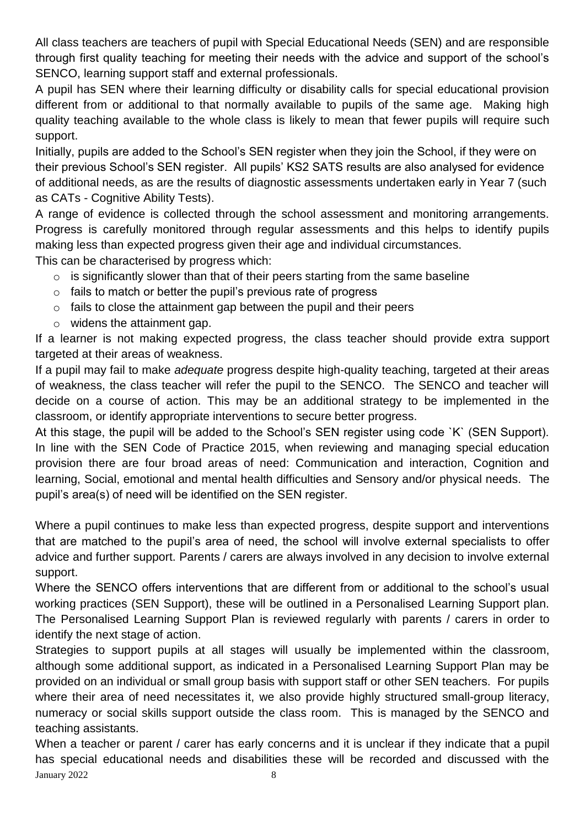All class teachers are teachers of pupil with Special Educational Needs (SEN) and are responsible through first quality teaching for meeting their needs with the advice and support of the school's SENCO, learning support staff and external professionals.

A pupil has SEN where their learning difficulty or disability calls for special educational provision different from or additional to that normally available to pupils of the same age. Making high quality teaching available to the whole class is likely to mean that fewer pupils will require such support.

Initially, pupils are added to the School's SEN register when they join the School, if they were on their previous School's SEN register. All pupils' KS2 SATS results are also analysed for evidence of additional needs, as are the results of diagnostic assessments undertaken early in Year 7 (such as CATs - Cognitive Ability Tests).

A range of evidence is collected through the school assessment and monitoring arrangements. Progress is carefully monitored through regular assessments and this helps to identify pupils making less than expected progress given their age and individual circumstances. This can be characterised by progress which:

- $\circ$  is significantly slower than that of their peers starting from the same baseline
- $\circ$  fails to match or better the pupil's previous rate of progress
- $\circ$  fails to close the attainment gap between the pupil and their peers
- o widens the attainment gap.

If a learner is not making expected progress, the class teacher should provide extra support targeted at their areas of weakness.

If a pupil may fail to make *adequate* progress despite high-quality teaching, targeted at their areas of weakness, the class teacher will refer the pupil to the SENCO. The SENCO and teacher will decide on a course of action. This may be an additional strategy to be implemented in the classroom, or identify appropriate interventions to secure better progress.

At this stage, the pupil will be added to the School's SEN register using code `K` (SEN Support). In line with the SEN Code of Practice 2015, when reviewing and managing special education provision there are four broad areas of need: Communication and interaction, Cognition and learning, Social, emotional and mental health difficulties and Sensory and/or physical needs. The pupil's area(s) of need will be identified on the SEN register.

Where a pupil continues to make less than expected progress, despite support and interventions that are matched to the pupil's area of need, the school will involve external specialists to offer advice and further support. Parents / carers are always involved in any decision to involve external support.

Where the SENCO offers interventions that are different from or additional to the school's usual working practices (SEN Support), these will be outlined in a Personalised Learning Support plan. The Personalised Learning Support Plan is reviewed regularly with parents / carers in order to identify the next stage of action.

Strategies to support pupils at all stages will usually be implemented within the classroom, although some additional support, as indicated in a Personalised Learning Support Plan may be provided on an individual or small group basis with support staff or other SEN teachers. For pupils where their area of need necessitates it, we also provide highly structured small-group literacy, numeracy or social skills support outside the class room. This is managed by the SENCO and teaching assistants.

January 2022 8 When a teacher or parent / carer has early concerns and it is unclear if they indicate that a pupil has special educational needs and disabilities these will be recorded and discussed with the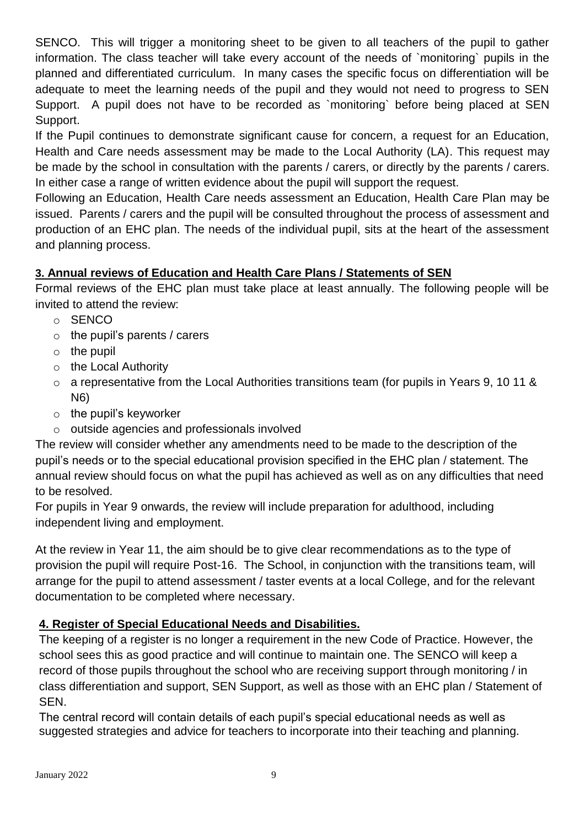SENCO. This will trigger a monitoring sheet to be given to all teachers of the pupil to gather information. The class teacher will take every account of the needs of `monitoring` pupils in the planned and differentiated curriculum. In many cases the specific focus on differentiation will be adequate to meet the learning needs of the pupil and they would not need to progress to SEN Support. A pupil does not have to be recorded as `monitoring` before being placed at SEN Support.

If the Pupil continues to demonstrate significant cause for concern, a request for an Education, Health and Care needs assessment may be made to the Local Authority (LA). This request may be made by the school in consultation with the parents / carers, or directly by the parents / carers. In either case a range of written evidence about the pupil will support the request.

Following an Education, Health Care needs assessment an Education, Health Care Plan may be issued. Parents / carers and the pupil will be consulted throughout the process of assessment and production of an EHC plan. The needs of the individual pupil, sits at the heart of the assessment and planning process.

# **3. Annual reviews of Education and Health Care Plans / Statements of SEN**

Formal reviews of the EHC plan must take place at least annually. The following people will be invited to attend the review:

- o SENCO
- $\circ$  the pupil's parents / carers
- $\circ$  the pupil
- o the Local Authority
- $\circ$  a representative from the Local Authorities transitions team (for pupils in Years 9, 10 11 & N6)
- $\circ$  the pupil's keyworker
- o outside agencies and professionals involved

The review will consider whether any amendments need to be made to the description of the pupil's needs or to the special educational provision specified in the EHC plan / statement. The annual review should focus on what the pupil has achieved as well as on any difficulties that need to be resolved.

For pupils in Year 9 onwards, the review will include preparation for adulthood, including independent living and employment.

At the review in Year 11, the aim should be to give clear recommendations as to the type of provision the pupil will require Post-16. The School, in conjunction with the transitions team, will arrange for the pupil to attend assessment / taster events at a local College, and for the relevant documentation to be completed where necessary.

# **4. Register of Special Educational Needs and Disabilities.**

The keeping of a register is no longer a requirement in the new Code of Practice. However, the school sees this as good practice and will continue to maintain one. The SENCO will keep a record of those pupils throughout the school who are receiving support through monitoring / in class differentiation and support, SEN Support, as well as those with an EHC plan / Statement of SEN.

The central record will contain details of each pupil's special educational needs as well as suggested strategies and advice for teachers to incorporate into their teaching and planning.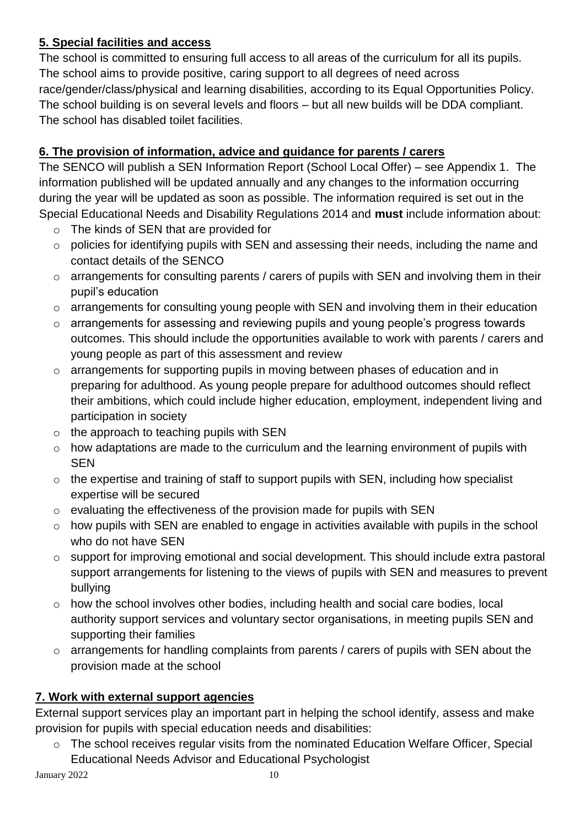# **5. Special facilities and access**

The school is committed to ensuring full access to all areas of the curriculum for all its pupils. The school aims to provide positive, caring support to all degrees of need across race/gender/class/physical and learning disabilities, according to its Equal Opportunities Policy. The school building is on several levels and floors – but all new builds will be DDA compliant. The school has disabled toilet facilities.

# **6. The provision of information, advice and guidance for parents / carers**

The SENCO will publish a SEN Information Report (School Local Offer) – see Appendix 1. The information published will be updated annually and any changes to the information occurring during the year will be updated as soon as possible. The information required is set out in the Special Educational Needs and Disability Regulations 2014 and **must** include information about:

- o The kinds of SEN that are provided for
- o policies for identifying pupils with SEN and assessing their needs, including the name and contact details of the SENCO
- o arrangements for consulting parents / carers of pupils with SEN and involving them in their pupil's education
- o arrangements for consulting young people with SEN and involving them in their education
- o arrangements for assessing and reviewing pupils and young people's progress towards outcomes. This should include the opportunities available to work with parents / carers and young people as part of this assessment and review
- o arrangements for supporting pupils in moving between phases of education and in preparing for adulthood. As young people prepare for adulthood outcomes should reflect their ambitions, which could include higher education, employment, independent living and participation in society
- $\circ$  the approach to teaching pupils with SEN
- o how adaptations are made to the curriculum and the learning environment of pupils with SEN
- o the expertise and training of staff to support pupils with SEN, including how specialist expertise will be secured
- o evaluating the effectiveness of the provision made for pupils with SEN
- $\circ$  how pupils with SEN are enabled to engage in activities available with pupils in the school who do not have SEN
- o support for improving emotional and social development. This should include extra pastoral support arrangements for listening to the views of pupils with SEN and measures to prevent bullying
- o how the school involves other bodies, including health and social care bodies, local authority support services and voluntary sector organisations, in meeting pupils SEN and supporting their families
- o arrangements for handling complaints from parents / carers of pupils with SEN about the provision made at the school

# **7. Work with external support agencies**

External support services play an important part in helping the school identify, assess and make provision for pupils with special education needs and disabilities:

o The school receives regular visits from the nominated Education Welfare Officer, Special Educational Needs Advisor and Educational Psychologist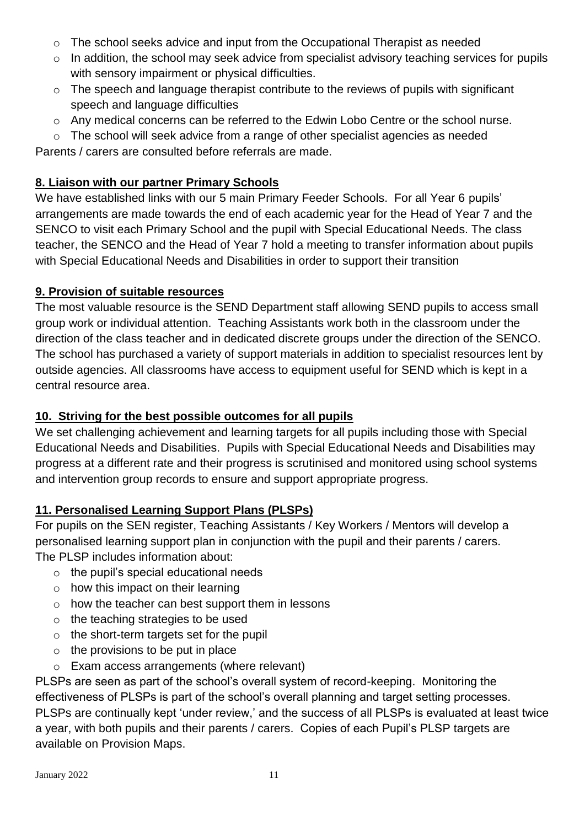- o The school seeks advice and input from the Occupational Therapist as needed
- o In addition, the school may seek advice from specialist advisory teaching services for pupils with sensory impairment or physical difficulties.
- o The speech and language therapist contribute to the reviews of pupils with significant speech and language difficulties
- o Any medical concerns can be referred to the Edwin Lobo Centre or the school nurse.
- o The school will seek advice from a range of other specialist agencies as needed Parents / carers are consulted before referrals are made.

## **8. Liaison with our partner Primary Schools**

We have established links with our 5 main Primary Feeder Schools. For all Year 6 pupils' arrangements are made towards the end of each academic year for the Head of Year 7 and the SENCO to visit each Primary School and the pupil with Special Educational Needs. The class teacher, the SENCO and the Head of Year 7 hold a meeting to transfer information about pupils with Special Educational Needs and Disabilities in order to support their transition

#### **9. Provision of suitable resources**

The most valuable resource is the SEND Department staff allowing SEND pupils to access small group work or individual attention. Teaching Assistants work both in the classroom under the direction of the class teacher and in dedicated discrete groups under the direction of the SENCO. The school has purchased a variety of support materials in addition to specialist resources lent by outside agencies. All classrooms have access to equipment useful for SEND which is kept in a central resource area.

## **10. Striving for the best possible outcomes for all pupils**

We set challenging achievement and learning targets for all pupils including those with Special Educational Needs and Disabilities. Pupils with Special Educational Needs and Disabilities may progress at a different rate and their progress is scrutinised and monitored using school systems and intervention group records to ensure and support appropriate progress.

#### **11. Personalised Learning Support Plans (PLSPs)**

For pupils on the SEN register, Teaching Assistants / Key Workers / Mentors will develop a personalised learning support plan in conjunction with the pupil and their parents / carers. The PLSP includes information about:

- $\circ$  the pupil's special educational needs
- $\circ$  how this impact on their learning
- $\circ$  how the teacher can best support them in lessons
- o the teaching strategies to be used
- o the short-term targets set for the pupil
- $\circ$  the provisions to be put in place
- o Exam access arrangements (where relevant)

PLSPs are seen as part of the school's overall system of record-keeping. Monitoring the effectiveness of PLSPs is part of the school's overall planning and target setting processes. PLSPs are continually kept 'under review,' and the success of all PLSPs is evaluated at least twice a year, with both pupils and their parents / carers. Copies of each Pupil's PLSP targets are available on Provision Maps.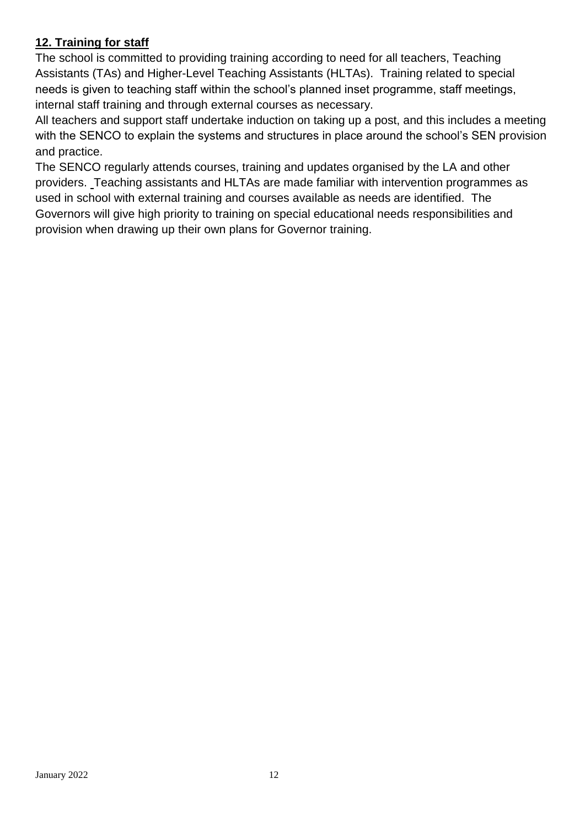# **12. Training for staff**

The school is committed to providing training according to need for all teachers, Teaching Assistants (TAs) and Higher-Level Teaching Assistants (HLTAs). Training related to special needs is given to teaching staff within the school's planned inset programme, staff meetings, internal staff training and through external courses as necessary.

All teachers and support staff undertake induction on taking up a post, and this includes a meeting with the SENCO to explain the systems and structures in place around the school's SEN provision and practice.

The SENCO regularly attends courses, training and updates organised by the LA and other providers. Teaching assistants and HLTAs are made familiar with intervention programmes as used in school with external training and courses available as needs are identified.The Governors will give high priority to training on special educational needs responsibilities and provision when drawing up their own plans for Governor training.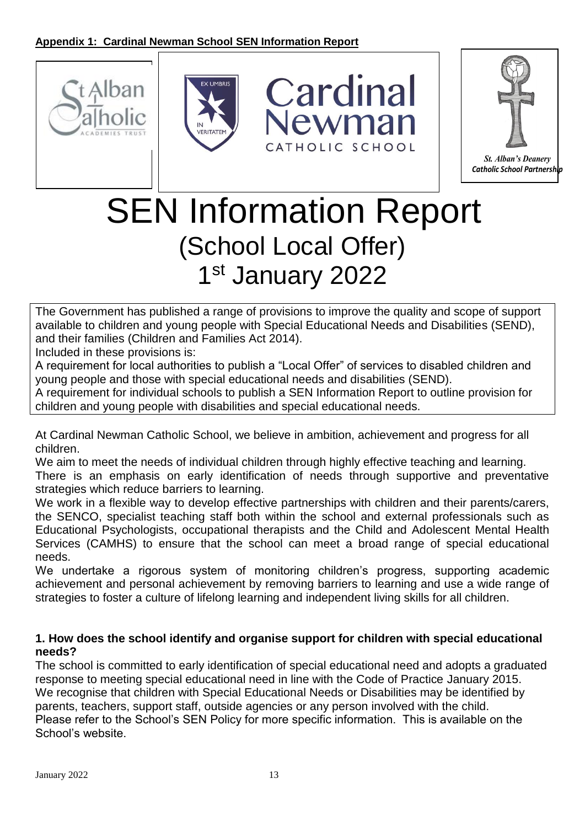







# SEN Information Report (School Local Offer) 1st January 2022

The Government has published a range of provisions to improve the quality and scope of support available to children and young people with Special Educational Needs and Disabilities (SEND), and their families (Children and Families Act 2014).

Included in these provisions is:

A requirement for local authorities to publish a "Local Offer" of services to disabled children and young people and those with special educational needs and disabilities (SEND).

A requirement for individual schools to publish a SEN Information Report to outline provision for children and young people with disabilities and special educational needs.

At Cardinal Newman Catholic School, we believe in ambition, achievement and progress for all children.

We aim to meet the needs of individual children through highly effective teaching and learning. There is an emphasis on early identification of needs through supportive and preventative strategies which reduce barriers to learning.

We work in a flexible way to develop effective partnerships with children and their parents/carers, the SENCO, specialist teaching staff both within the school and external professionals such as Educational Psychologists, occupational therapists and the Child and Adolescent Mental Health Services (CAMHS) to ensure that the school can meet a broad range of special educational needs.

We undertake a rigorous system of monitoring children's progress, supporting academic achievement and personal achievement by removing barriers to learning and use a wide range of strategies to foster a culture of lifelong learning and independent living skills for all children.

#### **1. How does the school identify and organise support for children with special educational needs?**

The school is committed to early identification of special educational need and adopts a graduated response to meeting special educational need in line with the Code of Practice January 2015. We recognise that children with Special Educational Needs or Disabilities may be identified by parents, teachers, support staff, outside agencies or any person involved with the child. Please refer to the School's SEN Policy for more specific information. This is available on the School's website.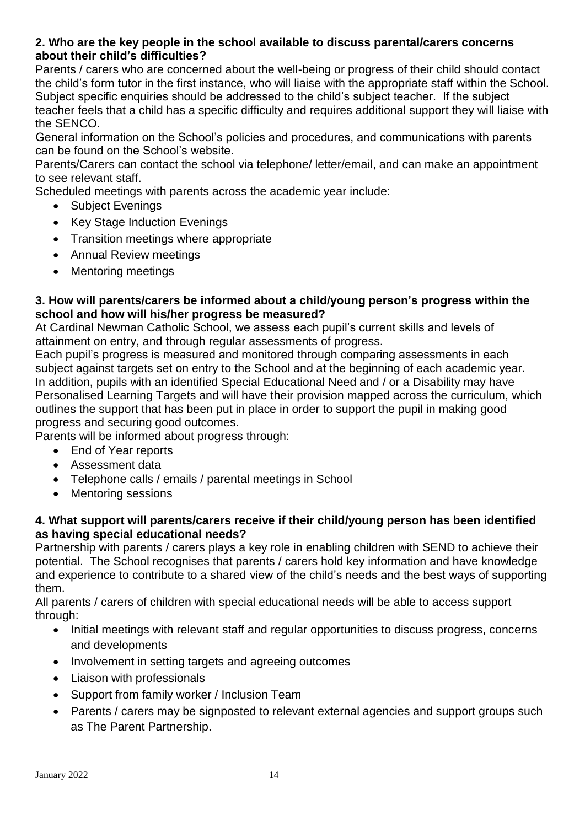#### **2. Who are the key people in the school available to discuss parental/carers concerns about their child's difficulties?**

Parents / carers who are concerned about the well-being or progress of their child should contact the child's form tutor in the first instance, who will liaise with the appropriate staff within the School. Subject specific enquiries should be addressed to the child's subject teacher. If the subject teacher feels that a child has a specific difficulty and requires additional support they will liaise with the SENCO.

General information on the School's policies and procedures, and communications with parents can be found on the School's website.

Parents/Carers can contact the school via telephone/ letter/email, and can make an appointment to see relevant staff.

Scheduled meetings with parents across the academic year include:

- Subject Evenings
- Key Stage Induction Evenings
- Transition meetings where appropriate
- Annual Review meetings
- Mentoring meetings

#### **3. How will parents/carers be informed about a child/young person's progress within the school and how will his/her progress be measured?**

At Cardinal Newman Catholic School, we assess each pupil's current skills and levels of attainment on entry, and through regular assessments of progress.

Each pupil's progress is measured and monitored through comparing assessments in each subject against targets set on entry to the School and at the beginning of each academic year. In addition, pupils with an identified Special Educational Need and / or a Disability may have Personalised Learning Targets and will have their provision mapped across the curriculum, which outlines the support that has been put in place in order to support the pupil in making good progress and securing good outcomes.

Parents will be informed about progress through:

- End of Year reports
- Assessment data
- Telephone calls / emails / parental meetings in School
- Mentoring sessions

#### **4. What support will parents/carers receive if their child/young person has been identified as having special educational needs?**

Partnership with parents / carers plays a key role in enabling children with SEND to achieve their potential. The School recognises that parents / carers hold key information and have knowledge and experience to contribute to a shared view of the child's needs and the best ways of supporting them.

All parents / carers of children with special educational needs will be able to access support through:

- Initial meetings with relevant staff and regular opportunities to discuss progress, concerns and developments
- Involvement in setting targets and agreeing outcomes
- Liaison with professionals
- Support from family worker / Inclusion Team
- Parents / carers may be signposted to relevant external agencies and support groups such as The Parent Partnership.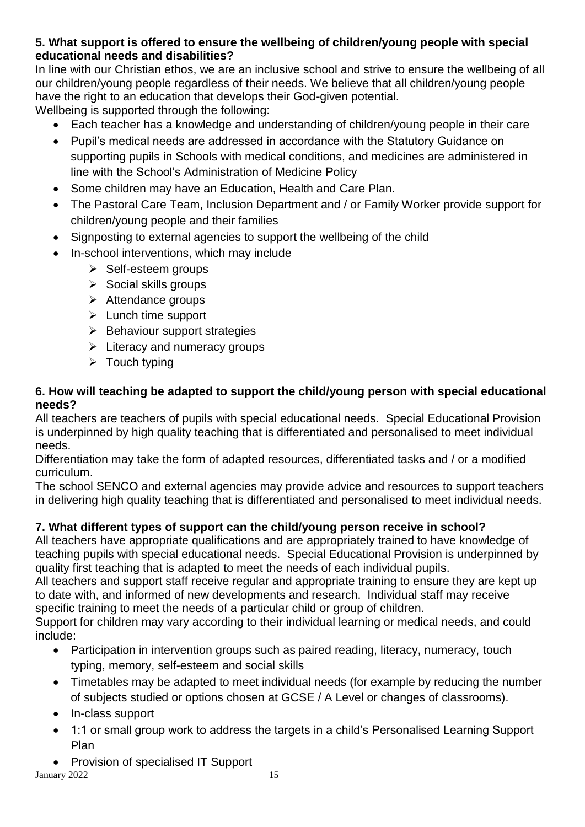#### **5. What support is offered to ensure the wellbeing of children/young people with special educational needs and disabilities?**

In line with our Christian ethos, we are an inclusive school and strive to ensure the wellbeing of all our children/young people regardless of their needs. We believe that all children/young people have the right to an education that develops their God-given potential. Wellbeing is supported through the following:

- Each teacher has a knowledge and understanding of children/young people in their care
- Pupil's medical needs are addressed in accordance with the Statutory Guidance on supporting pupils in Schools with medical conditions, and medicines are administered in line with the School's Administration of Medicine Policy
- Some children may have an Education, Health and Care Plan.
- The Pastoral Care Team, Inclusion Department and / or Family Worker provide support for children/young people and their families
- Signposting to external agencies to support the wellbeing of the child
- In-school interventions, which may include
	- ➢ Self-esteem groups
	- ➢ Social skills groups
	- ➢ Attendance groups
	- ➢ Lunch time support
	- ➢ Behaviour support strategies
	- $\triangleright$  Literacy and numeracy groups
	- $\triangleright$  Touch typing

#### **6. How will teaching be adapted to support the child/young person with special educational needs?**

All teachers are teachers of pupils with special educational needs. Special Educational Provision is underpinned by high quality teaching that is differentiated and personalised to meet individual needs.

Differentiation may take the form of adapted resources, differentiated tasks and / or a modified curriculum.

The school SENCO and external agencies may provide advice and resources to support teachers in delivering high quality teaching that is differentiated and personalised to meet individual needs.

# **7. What different types of support can the child/young person receive in school?**

All teachers have appropriate qualifications and are appropriately trained to have knowledge of teaching pupils with special educational needs. Special Educational Provision is underpinned by quality first teaching that is adapted to meet the needs of each individual pupils.

All teachers and support staff receive regular and appropriate training to ensure they are kept up to date with, and informed of new developments and research. Individual staff may receive specific training to meet the needs of a particular child or group of children.

Support for children may vary according to their individual learning or medical needs, and could include:

- Participation in intervention groups such as paired reading, literacy, numeracy, touch typing, memory, self-esteem and social skills
- Timetables may be adapted to meet individual needs (for example by reducing the number of subjects studied or options chosen at GCSE / A Level or changes of classrooms).
- In-class support
- 1:1 or small group work to address the targets in a child's Personalised Learning Support Plan
- Provision of specialised IT Support

January 2022 15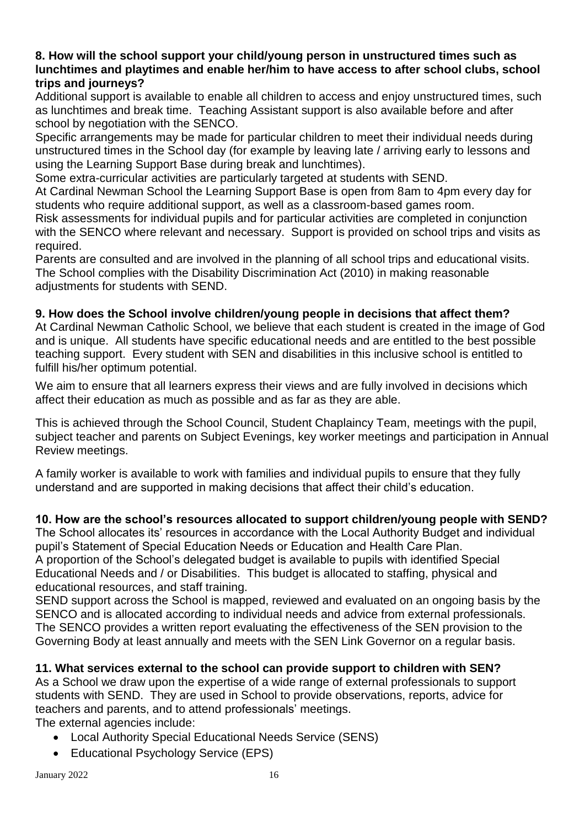#### **8. How will the school support your child/young person in unstructured times such as lunchtimes and playtimes and enable her/him to have access to after school clubs, school trips and journeys?**

Additional support is available to enable all children to access and enjoy unstructured times, such as lunchtimes and break time. Teaching Assistant support is also available before and after school by negotiation with the SENCO.

Specific arrangements may be made for particular children to meet their individual needs during unstructured times in the School day (for example by leaving late / arriving early to lessons and using the Learning Support Base during break and lunchtimes).

Some extra-curricular activities are particularly targeted at students with SEND.

At Cardinal Newman School the Learning Support Base is open from 8am to 4pm every day for students who require additional support, as well as a classroom-based games room.

Risk assessments for individual pupils and for particular activities are completed in conjunction with the SENCO where relevant and necessary. Support is provided on school trips and visits as required.

Parents are consulted and are involved in the planning of all school trips and educational visits. The School complies with the Disability Discrimination Act (2010) in making reasonable adiustments for students with SEND.

#### **9. How does the School involve children/young people in decisions that affect them?**

At Cardinal Newman Catholic School, we believe that each student is created in the image of God and is unique. All students have specific educational needs and are entitled to the best possible teaching support. Every student with SEN and disabilities in this inclusive school is entitled to fulfill his/her optimum potential.

We aim to ensure that all learners express their views and are fully involved in decisions which affect their education as much as possible and as far as they are able.

This is achieved through the School Council, Student Chaplaincy Team, meetings with the pupil, subject teacher and parents on Subject Evenings, key worker meetings and participation in Annual Review meetings.

A family worker is available to work with families and individual pupils to ensure that they fully understand and are supported in making decisions that affect their child's education.

#### **10. How are the school's resources allocated to support children/young people with SEND?**

The School allocates its' resources in accordance with the Local Authority Budget and individual pupil's Statement of Special Education Needs or Education and Health Care Plan. A proportion of the School's delegated budget is available to pupils with identified Special Educational Needs and / or Disabilities. This budget is allocated to staffing, physical and educational resources, and staff training.

SEND support across the School is mapped, reviewed and evaluated on an ongoing basis by the SENCO and is allocated according to individual needs and advice from external professionals. The SENCO provides a written report evaluating the effectiveness of the SEN provision to the Governing Body at least annually and meets with the SEN Link Governor on a regular basis.

#### **11. What services external to the school can provide support to children with SEN?**

As a School we draw upon the expertise of a wide range of external professionals to support students with SEND. They are used in School to provide observations, reports, advice for teachers and parents, and to attend professionals' meetings. The external agencies include:

- Local Authority Special Educational Needs Service (SENS)
- Educational Psychology Service (EPS)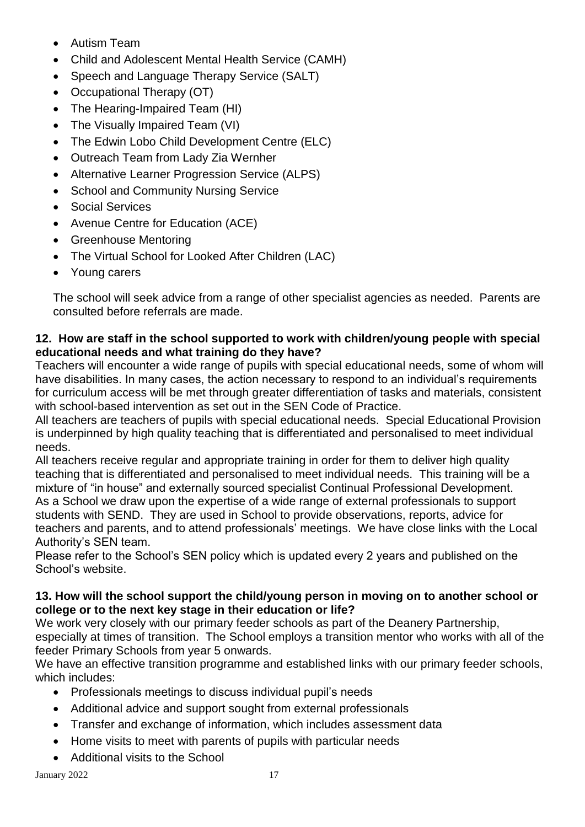- Autism Team
- Child and Adolescent Mental Health Service (CAMH)
- Speech and Language Therapy Service (SALT)
- Occupational Therapy (OT)
- The Hearing-Impaired Team (HI)
- The Visually Impaired Team (VI)
- The Edwin Lobo Child Development Centre (ELC)
- Outreach Team from Lady Zia Wernher
- Alternative Learner Progression Service (ALPS)
- School and Community Nursing Service
- Social Services
- Avenue Centre for Education (ACE)
- Greenhouse Mentoring
- The Virtual School for Looked After Children (LAC)
- Young carers

The school will seek advice from a range of other specialist agencies as needed. Parents are consulted before referrals are made.

#### **12.****How are staff in the school supported to work with children/young people with special educational needs and what training do they have?**

Teachers will encounter a wide range of pupils with special educational needs, some of whom will have disabilities. In many cases, the action necessary to respond to an individual's requirements for curriculum access will be met through greater differentiation of tasks and materials, consistent with school-based intervention as set out in the SEN Code of Practice.

All teachers are teachers of pupils with special educational needs. Special Educational Provision is underpinned by high quality teaching that is differentiated and personalised to meet individual needs.

All teachers receive regular and appropriate training in order for them to deliver high quality teaching that is differentiated and personalised to meet individual needs. This training will be a mixture of "in house" and externally sourced specialist Continual Professional Development. As a School we draw upon the expertise of a wide range of external professionals to support students with SEND. They are used in School to provide observations, reports, advice for teachers and parents, and to attend professionals' meetings. We have close links with the Local Authority's SEN team.

Please refer to the School's SEN policy which is updated every 2 years and published on the School's website.

#### **13. How will the school support the child/young person in moving on to another school or college or to the next key stage in their education or life?**

We work very closely with our primary feeder schools as part of the Deanery Partnership, especially at times of transition. The School employs a transition mentor who works with all of the feeder Primary Schools from year 5 onwards.

We have an effective transition programme and established links with our primary feeder schools, which includes:

- Professionals meetings to discuss individual pupil's needs
- Additional advice and support sought from external professionals
- Transfer and exchange of information, which includes assessment data
- Home visits to meet with parents of pupils with particular needs
- Additional visits to the School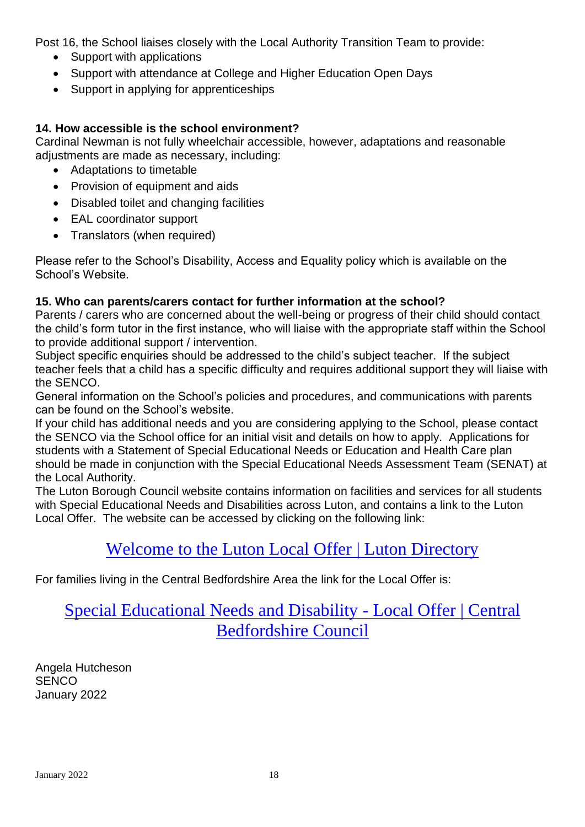Post 16, the School liaises closely with the Local Authority Transition Team to provide:

- Support with applications
- Support with attendance at College and Higher Education Open Days
- Support in applying for apprenticeships

#### **14. How accessible is the school environment?**

Cardinal Newman is not fully wheelchair accessible, however, adaptations and reasonable adjustments are made as necessary, including:

- Adaptations to timetable
- Provision of equipment and aids
- Disabled toilet and changing facilities
- EAL coordinator support
- Translators (when required)

Please refer to the School's Disability, Access and Equality policy which is available on the School's Website.

#### **15. Who can parents/carers contact for further information at the school?**

Parents / carers who are concerned about the well-being or progress of their child should contact the child's form tutor in the first instance, who will liaise with the appropriate staff within the School to provide additional support / intervention.

Subject specific enquiries should be addressed to the child's subject teacher. If the subject teacher feels that a child has a specific difficulty and requires additional support they will liaise with the SENCO.

General information on the School's policies and procedures, and communications with parents can be found on the School's website.

If your child has additional needs and you are considering applying to the School, please contact the SENCO via the School office for an initial visit and details on how to apply. Applications for students with a Statement of Special Educational Needs or Education and Health Care plan should be made in conjunction with the Special Educational Needs Assessment Team (SENAT) at the Local Authority.

The Luton Borough Council website contains information on facilities and services for all students with Special Educational Needs and Disabilities across Luton, and contains a link to the Luton Local Offer. The website can be accessed by clicking on the following link:

# [Welcome to the Luton Local Offer](https://directory.luton.gov.uk/kb5/luton/directory/localoffer.page?localofferchannel=0) | Luton Directory

For families living in the Central Bedfordshire Area the link for the Local Offer is:

# [Special Educational Needs and Disability -](https://www.centralbedfordshire.gov.uk/localoffer) Local Offer | Central [Bedfordshire Council](https://www.centralbedfordshire.gov.uk/localoffer)

Angela Hutcheson **SENCO** January 2022